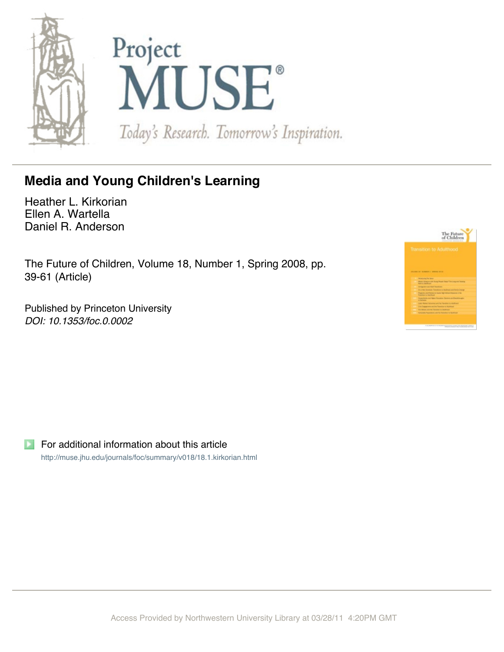



# **Media and Young Children's Learning**

Heather L. Kirkorian Ellen A. Wartella Daniel R. Anderson

The Future of Children, Volume 18, Number 1, Spring 2008, pp. 39-61 (Article)

Published by Princeton University *DOI: 10.1353/foc.0.0002*



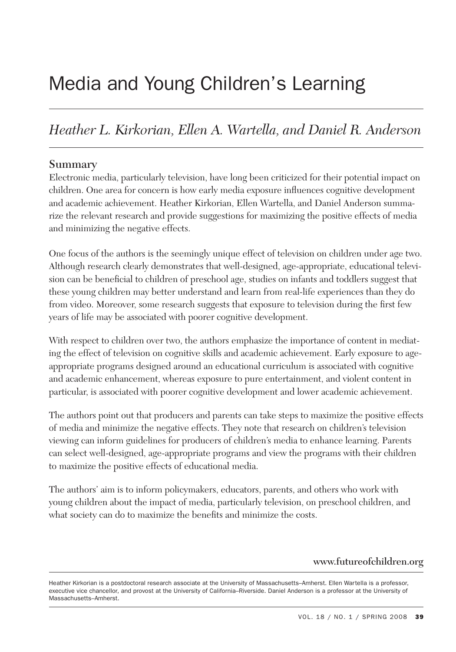# Media and Young Children's Learning

## *Heather L. Kirkorian, Ellen A. Wartella, and Daniel R. Anderson*

### **Summary**

Electronic media, particularly television, have long been criticized for their potential impact on children. One area for concern is how early media exposure influences cognitive development and academic achievement. Heather Kirkorian, Ellen Wartella, and Daniel Anderson summarize the relevant research and provide suggestions for maximizing the positive effects of media and minimizing the negative effects.

One focus of the authors is the seemingly unique effect of television on children under age two. Although research clearly demonstrates that well-designed, age-appropriate, educational television can be beneficial to children of preschool age, studies on infants and toddlers suggest that these young children may better understand and learn from real-life experiences than they do from video. Moreover, some research suggests that exposure to television during the first few years of life may be associated with poorer cognitive development.

With respect to children over two, the authors emphasize the importance of content in mediating the effect of television on cognitive skills and academic achievement. Early exposure to ageappropriate programs designed around an educational curriculum is associated with cognitive and academic enhancement, whereas exposure to pure entertainment, and violent content in particular, is associated with poorer cognitive development and lower academic achievement.

The authors point out that producers and parents can take steps to maximize the positive effects of media and minimize the negative effects. They note that research on children's television viewing can inform guidelines for producers of children's media to enhance learning. Parents can select well-designed, age-appropriate programs and view the programs with their children to maximize the positive effects of educational media.

The authors' aim is to inform policymakers, educators, parents, and others who work with young children about the impact of media, particularly television, on preschool children, and what society can do to maximize the benefits and minimize the costs.

#### **www.futureofchildren.org**

Heather Kirkorian is a postdoctoral research associate at the University of Massachusetts–Amherst. Ellen Wartella is a professor, executive vice chancellor, and provost at the University of California–Riverside. Daniel Anderson is a professor at the University of Massachusetts–Amherst.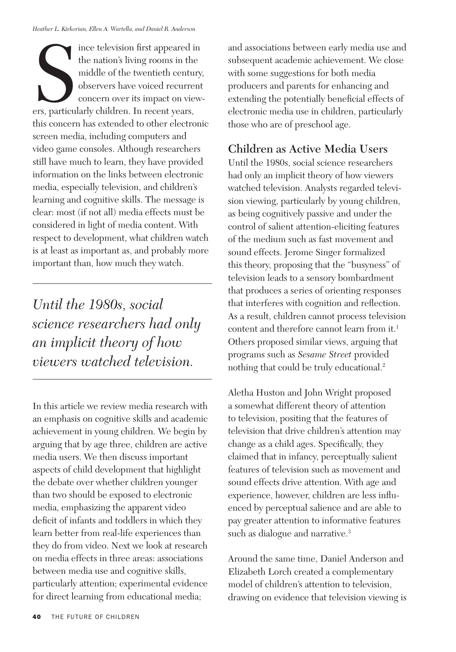since television first appeared is<br>the nation's living rooms in the middle of the twentieth centure<br>observers have voiced recurrer<br>concern over its impact on vie<br>ers, particularly children. In recent years, ince television first appeared in the nation's living rooms in the middle of the twentieth century, observers have voiced recurrent concern over its impact on viewthis concern has extended to other electronic screen media, including computers and video game consoles. Although researchers still have much to learn, they have provided information on the links between electronic media, especially television, and children's learning and cognitive skills. The message is clear: most (if not all) media effects must be considered in light of media content. With respect to development, what children watch is at least as important as, and probably more important than, how much they watch.

*Until the 1980s, social science researchers had only an implicit theory of how viewers watched television.*

In this article we review media research with an emphasis on cognitive skills and academic achievement in young children. We begin by arguing that by age three, children are active media users. We then discuss important aspects of child development that highlight the debate over whether children younger than two should be exposed to electronic media, emphasizing the apparent video deficit of infants and toddlers in which they learn better from real-life experiences than they do from video. Next we look at research on media effects in three areas: associations between media use and cognitive skills, particularly attention; experimental evidence for direct learning from educational media;

and associations between early media use and subsequent academic achievement. We close with some suggestions for both media producers and parents for enhancing and extending the potentially beneficial effects of electronic media use in children, particularly those who are of preschool age.

### **Children as Active Media Users**

Until the 1980s, social science researchers had only an implicit theory of how viewers watched television. Analysts regarded television viewing, particularly by young children, as being cognitively passive and under the control of salient attention-eliciting features of the medium such as fast movement and sound effects. Jerome Singer formalized this theory, proposing that the "busyness" of television leads to a sensory bombardment that produces a series of orienting responses that interferes with cognition and reflection. As a result, children cannot process television content and therefore cannot learn from it.<sup>1</sup> Others proposed similar views, arguing that programs such as *Sesame Street* provided nothing that could be truly educational.<sup>2</sup>

Aletha Huston and John Wright proposed a somewhat different theory of attention to television, positing that the features of television that drive children's attention may change as a child ages. Specifically, they claimed that in infancy, perceptually salient features of television such as movement and sound effects drive attention. With age and experience, however, children are less influenced by perceptual salience and are able to pay greater attention to informative features such as dialogue and narrative.<sup>3</sup>

Around the same time, Daniel Anderson and Elizabeth Lorch created a complementary model of children's attention to television, drawing on evidence that television viewing is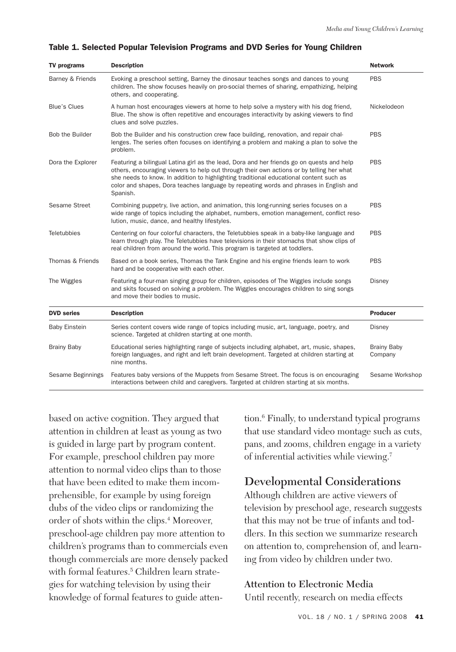#### Table 1. Selected Popular Television Programs and DVD Series for Young Children

| <b>TV programs</b>   | <b>Description</b>                                                                                                                                                                                                                                                                                                                                                                   | <b>Network</b>                |
|----------------------|--------------------------------------------------------------------------------------------------------------------------------------------------------------------------------------------------------------------------------------------------------------------------------------------------------------------------------------------------------------------------------------|-------------------------------|
| Barney & Friends     | Evoking a preschool setting, Barney the dinosaur teaches songs and dances to young<br>children. The show focuses heavily on pro-social themes of sharing, empathizing, helping<br>others, and cooperating.                                                                                                                                                                           | <b>PBS</b>                    |
| <b>Blue's Clues</b>  | A human host encourages viewers at home to help solve a mystery with his dog friend,<br>Blue. The show is often repetitive and encourages interactivity by asking viewers to find<br>clues and solve puzzles.                                                                                                                                                                        | Nickelodeon                   |
| Bob the Builder      | Bob the Builder and his construction crew face building, renovation, and repair chal-<br>lenges. The series often focuses on identifying a problem and making a plan to solve the<br>problem.                                                                                                                                                                                        | <b>PBS</b>                    |
| Dora the Explorer    | Featuring a bilingual Latina girl as the lead, Dora and her friends go on quests and help<br>others, encouraging viewers to help out through their own actions or by telling her what<br>she needs to know. In addition to highlighting traditional educational content such as<br>color and shapes, Dora teaches language by repeating words and phrases in English and<br>Spanish. | <b>PBS</b>                    |
| Sesame Street        | Combining puppetry, live action, and animation, this long-running series focuses on a<br>wide range of topics including the alphabet, numbers, emotion management, conflict reso-<br>lution, music, dance, and healthy lifestyles.                                                                                                                                                   | <b>PBS</b>                    |
| <b>Teletubbies</b>   | Centering on four colorful characters, the Teletubbies speak in a baby-like language and<br>learn through play. The Teletubbies have televisions in their stomachs that show clips of<br>real children from around the world. This program is targeted at toddlers.                                                                                                                  | <b>PBS</b>                    |
| Thomas & Friends     | Based on a book series, Thomas the Tank Engine and his engine friends learn to work<br>hard and be cooperative with each other.                                                                                                                                                                                                                                                      | <b>PBS</b>                    |
| The Wiggles          | Featuring a four-man singing group for children, episodes of The Wiggles include songs<br>and skits focused on solving a problem. The Wiggles encourages children to sing songs<br>and move their bodies to music.                                                                                                                                                                   | Disney                        |
| <b>DVD</b> series    | <b>Description</b>                                                                                                                                                                                                                                                                                                                                                                   | <b>Producer</b>               |
| <b>Baby Einstein</b> | Series content covers wide range of topics including music, art, language, poetry, and<br>science. Targeted at children starting at one month.                                                                                                                                                                                                                                       | Disney                        |
| <b>Brainy Baby</b>   | Educational series highlighting range of subjects including alphabet, art, music, shapes,<br>foreign languages, and right and left brain development. Targeted at children starting at<br>nine months.                                                                                                                                                                               | <b>Brainy Baby</b><br>Company |
| Sesame Beginnings    | Features baby versions of the Muppets from Sesame Street. The focus is on encouraging<br>interactions between child and caregivers. Targeted at children starting at six months.                                                                                                                                                                                                     | Sesame Workshop               |

based on active cognition. They argued that attention in children at least as young as two is guided in large part by program content. For example, preschool children pay more attention to normal video clips than to those that have been edited to make them incomprehensible, for example by using foreign dubs of the video clips or randomizing the order of shots within the clips.<sup>4</sup> Moreover, preschool-age children pay more attention to children's programs than to commercials even though commercials are more densely packed with formal features.5 Children learn strategies for watching television by using their knowledge of formal features to guide atten-

tion.6 Finally, to understand typical programs that use standard video montage such as cuts, pans, and zooms, children engage in a variety of inferential activities while viewing.7

### **Developmental Considerations**

Although children are active viewers of television by preschool age, research suggests that this may not be true of infants and toddlers. In this section we summarize research on attention to, comprehension of, and learning from video by children under two.

### **Attention to Electronic Media** Until recently, research on media effects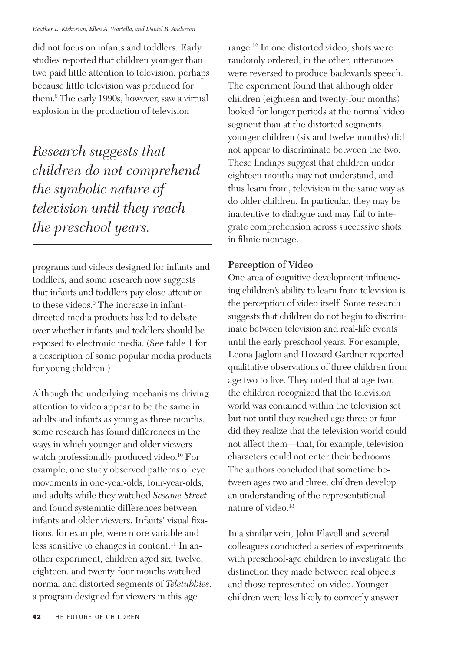did not focus on infants and toddlers. Early studies reported that children younger than two paid little attention to television, perhaps because little television was produced for them.8 The early 1990s, however, saw a virtual explosion in the production of television

*Research suggests that children do not comprehend the symbolic nature of television until they reach the preschool years.*

programs and videos designed for infants and toddlers, and some research now suggests that infants and toddlers pay close attention to these videos.9 The increase in infantdirected media products has led to debate over whether infants and toddlers should be exposed to electronic media. (See table 1 for a description of some popular media products for young children.)

Although the underlying mechanisms driving attention to video appear to be the same in adults and infants as young as three months, some research has found differences in the ways in which younger and older viewers watch professionally produced video.<sup>10</sup> For example, one study observed patterns of eye movements in one-year-olds, four-year-olds, and adults while they watched *Sesame Street* and found systematic differences between infants and older viewers. Infants' visual fixations, for example, were more variable and less sensitive to changes in content.<sup>11</sup> In another experiment, children aged six, twelve, eighteen, and twenty-four months watched normal and distorted segments of *Teletubbies*, a program designed for viewers in this age

range.12 In one distorted video, shots were randomly ordered; in the other, utterances were reversed to produce backwards speech. The experiment found that although older children (eighteen and twenty-four months) looked for longer periods at the normal video segment than at the distorted segments, younger children (six and twelve months) did not appear to discriminate between the two. These findings suggest that children under eighteen months may not understand, and thus learn from, television in the same way as do older children. In particular, they may be inattentive to dialogue and may fail to integrate comprehension across successive shots in filmic montage.

### **Perception of Video**

One area of cognitive development influencing children's ability to learn from television is the perception of video itself. Some research suggests that children do not begin to discriminate between television and real-life events until the early preschool years. For example, Leona Jaglom and Howard Gardner reported qualitative observations of three children from age two to five. They noted that at age two, the children recognized that the television world was contained within the television set but not until they reached age three or four did they realize that the television world could not affect them—that, for example, television characters could not enter their bedrooms. The authors concluded that sometime between ages two and three, children develop an understanding of the representational nature of video.<sup>13</sup>

In a similar vein, John Flavell and several colleagues conducted a series of experiments with preschool-age children to investigate the distinction they made between real objects and those represented on video. Younger children were less likely to correctly answer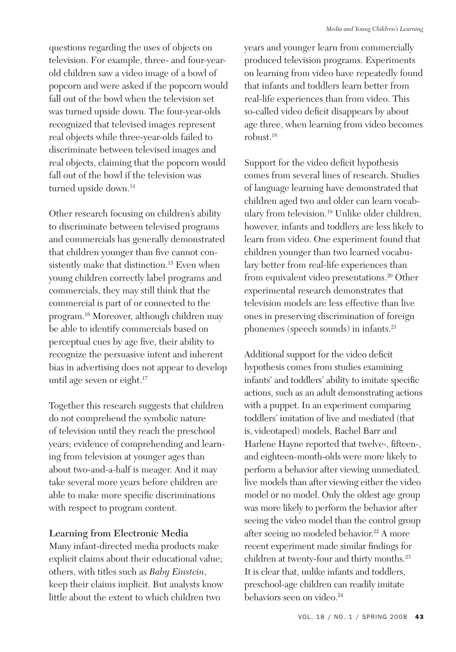questions regarding the uses of objects on television. For example, three- and four-yearold children saw a video image of a bowl of popcorn and were asked if the popcorn would fall out of the bowl when the television set was turned upside down. The four-year-olds recognized that televised images represent real objects while three-year-olds failed to discriminate between televised images and real objects, claiming that the popcorn would fall out of the bowl if the television was turned upside down.<sup>14</sup>

Other research focusing on children's ability to discriminate between televised programs and commercials has generally demonstrated that children younger than five cannot consistently make that distinction.<sup>15</sup> Even when young children correctly label programs and commercials, they may still think that the commercial is part of or connected to the program.16 Moreover, although children may be able to identify commercials based on perceptual cues by age five, their ability to recognize the persuasive intent and inherent bias in advertising does not appear to develop until age seven or eight.17

Together this research suggests that children do not comprehend the symbolic nature of television until they reach the preschool years; evidence of comprehending and learning from television at younger ages than about two-and-a-half is meager. And it may take several more years before children are able to make more specific discriminations with respect to program content.

### **Learning from Electronic Media**

Many infant-directed media products make explicit claims about their educational value; others, with titles such as *Baby Einstein*, keep their claims implicit. But analysts know little about the extent to which children two

years and younger learn from commercially produced television programs. Experiments on learning from video have repeatedly found that infants and toddlers learn better from real-life experiences than from video. This so-called video deficit disappears by about age three, when learning from video becomes robust.18

Support for the video deficit hypothesis comes from several lines of research. Studies of language learning have demonstrated that children aged two and older can learn vocabulary from television.19 Unlike older children, however, infants and toddlers are less likely to learn from video. One experiment found that children younger than two learned vocabulary better from real-life experiences than from equivalent video presentations.<sup>20</sup> Other experimental research demonstrates that television models are less effective than live ones in preserving discrimination of foreign phonemes (speech sounds) in infants.<sup>21</sup>

Additional support for the video deficit hypothesis comes from studies examining infants' and toddlers' ability to imitate specific actions, such as an adult demonstrating actions with a puppet. In an experiment comparing toddlers' imitation of live and mediated (that is, videotaped) models, Rachel Barr and Harlene Hayne reported that twelve-, fifteen-, and eighteen-month-olds were more likely to perform a behavior after viewing unmediated, live models than after viewing either the video model or no model. Only the oldest age group was more likely to perform the behavior after seeing the video model than the control group after seeing no modeled behavior.<sup>22</sup> A more recent experiment made similar findings for children at twenty-four and thirty months.<sup>23</sup> It is clear that, unlike infants and toddlers, preschool-age children can readily imitate behaviors seen on video.<sup>24</sup>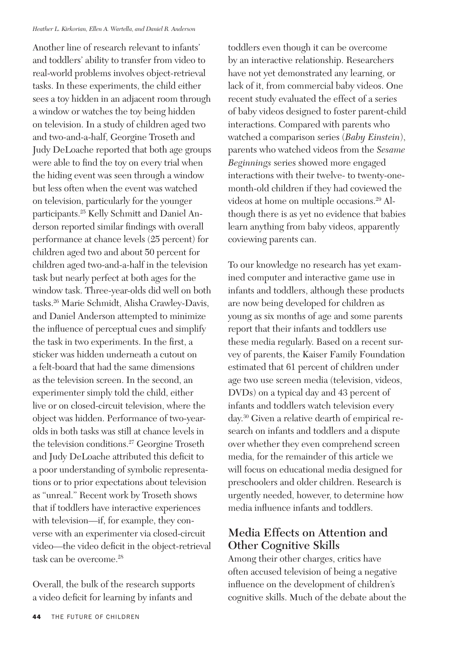#### *Heather L. Kirkorian, Ellen A. Wartella, and Daniel R. Anderson*

Another line of research relevant to infants' and toddlers' ability to transfer from video to real-world problems involves object-retrieval tasks. In these experiments, the child either sees a toy hidden in an adjacent room through a window or watches the toy being hidden on television. In a study of children aged two and two-and-a-half, Georgine Troseth and Judy DeLoache reported that both age groups were able to find the toy on every trial when the hiding event was seen through a window but less often when the event was watched on television, particularly for the younger participants.25 Kelly Schmitt and Daniel Anderson reported similar findings with overall performance at chance levels (25 percent) for children aged two and about 50 percent for children aged two-and-a-half in the television task but nearly perfect at both ages for the window task. Three-year-olds did well on both tasks.26 Marie Schmidt, Alisha Crawley-Davis, and Daniel Anderson attempted to minimize the influence of perceptual cues and simplify the task in two experiments. In the first, a sticker was hidden underneath a cutout on a felt-board that had the same dimensions as the television screen. In the second, an experimenter simply told the child, either live or on closed-circuit television, where the object was hidden. Performance of two-yearolds in both tasks was still at chance levels in the television conditions.27 Georgine Troseth and Judy DeLoache attributed this deficit to a poor understanding of symbolic representations or to prior expectations about television as "unreal." Recent work by Troseth shows that if toddlers have interactive experiences with television—if, for example, they converse with an experimenter via closed-circuit video—the video deficit in the object-retrieval task can be overcome.<sup>28</sup>

Overall, the bulk of the research supports a video deficit for learning by infants and

toddlers even though it can be overcome by an interactive relationship. Researchers have not yet demonstrated any learning, or lack of it, from commercial baby videos. One recent study evaluated the effect of a series of baby videos designed to foster parent-child interactions. Compared with parents who watched a comparison series (*Baby Einstein*), parents who watched videos from the *Sesame Beginnings* series showed more engaged interactions with their twelve- to twenty-onemonth-old children if they had coviewed the videos at home on multiple occasions.29 Although there is as yet no evidence that babies learn anything from baby videos, apparently coviewing parents can.

To our knowledge no research has yet examined computer and interactive game use in infants and toddlers, although these products are now being developed for children as young as six months of age and some parents report that their infants and toddlers use these media regularly. Based on a recent survey of parents, the Kaiser Family Foundation estimated that 61 percent of children under age two use screen media (television, videos, DVDs) on a typical day and 43 percent of infants and toddlers watch television every day.30 Given a relative dearth of empirical research on infants and toddlers and a dispute over whether they even comprehend screen media, for the remainder of this article we will focus on educational media designed for preschoolers and older children. Research is urgently needed, however, to determine how media influence infants and toddlers.

### **Media Effects on Attention and Other Cognitive Skills**

Among their other charges, critics have often accused television of being a negative influence on the development of children's cognitive skills. Much of the debate about the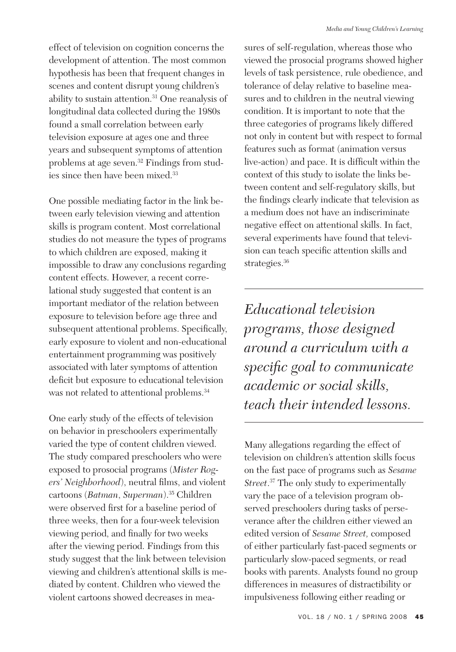effect of television on cognition concerns the development of attention. The most common hypothesis has been that frequent changes in scenes and content disrupt young children's ability to sustain attention.<sup>31</sup> One reanalysis of longitudinal data collected during the 1980s found a small correlation between early television exposure at ages one and three years and subsequent symptoms of attention problems at age seven.<sup>32</sup> Findings from studies since then have been mixed.33

One possible mediating factor in the link between early television viewing and attention skills is program content. Most correlational studies do not measure the types of programs to which children are exposed, making it impossible to draw any conclusions regarding content effects. However, a recent correlational study suggested that content is an important mediator of the relation between exposure to television before age three and subsequent attentional problems. Specifically, early exposure to violent and non-educational entertainment programming was positively associated with later symptoms of attention deficit but exposure to educational television was not related to attentional problems.<sup>34</sup>

One early study of the effects of television on behavior in preschoolers experimentally varied the type of content children viewed. The study compared preschoolers who were exposed to prosocial programs (*Mister Rogers' Neighborhood*), neutral films, and violent cartoons (*Batman*, *Superman*).35 Children were observed first for a baseline period of three weeks, then for a four-week television viewing period, and finally for two weeks after the viewing period. Findings from this study suggest that the link between television viewing and children's attentional skills is mediated by content. Children who viewed the violent cartoons showed decreases in measures of self-regulation, whereas those who viewed the prosocial programs showed higher levels of task persistence, rule obedience, and tolerance of delay relative to baseline measures and to children in the neutral viewing condition. It is important to note that the three categories of programs likely differed not only in content but with respect to formal features such as format (animation versus live-action) and pace. It is difficult within the context of this study to isolate the links between content and self-regulatory skills, but the findings clearly indicate that television as a medium does not have an indiscriminate negative effect on attentional skills. In fact, several experiments have found that television can teach specific attention skills and strategies.<sup>36</sup>

*Educational television programs, those designed around a curriculum with a specific goal to communicate academic or social skills, teach their intended lessons.*

Many allegations regarding the effect of television on children's attention skills focus on the fast pace of programs such as *Sesame Street*. 37 The only study to experimentally vary the pace of a television program observed preschoolers during tasks of perseverance after the children either viewed an edited version of *Sesame Street,* composed of either particularly fast-paced segments or particularly slow-paced segments, or read books with parents. Analysts found no group differences in measures of distractibility or impulsiveness following either reading or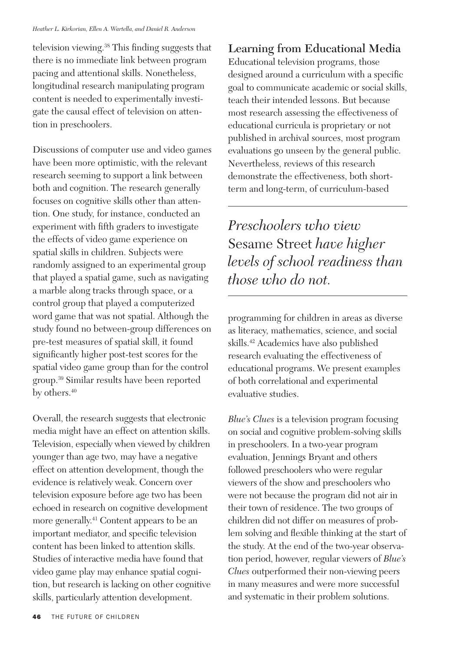television viewing.38 This finding suggests that there is no immediate link between program pacing and attentional skills. Nonetheless, longitudinal research manipulating program content is needed to experimentally investigate the causal effect of television on attention in preschoolers.

Discussions of computer use and video games have been more optimistic, with the relevant research seeming to support a link between both and cognition. The research generally focuses on cognitive skills other than attention. One study, for instance, conducted an experiment with fifth graders to investigate the effects of video game experience on spatial skills in children. Subjects were randomly assigned to an experimental group that played a spatial game, such as navigating a marble along tracks through space, or a control group that played a computerized word game that was not spatial. Although the study found no between-group differences on pre-test measures of spatial skill, it found significantly higher post-test scores for the spatial video game group than for the control group.39 Similar results have been reported by others.<sup>40</sup>

Overall, the research suggests that electronic media might have an effect on attention skills. Television, especially when viewed by children younger than age two, may have a negative effect on attention development, though the evidence is relatively weak. Concern over television exposure before age two has been echoed in research on cognitive development more generally.41 Content appears to be an important mediator, and specific television content has been linked to attention skills. Studies of interactive media have found that video game play may enhance spatial cognition, but research is lacking on other cognitive skills, particularly attention development.

### **Learning from Educational Media**

Educational television programs, those designed around a curriculum with a specific goal to communicate academic or social skills, teach their intended lessons. But because most research assessing the effectiveness of educational curricula is proprietary or not published in archival sources, most program evaluations go unseen by the general public. Nevertheless, reviews of this research demonstrate the effectiveness, both shortterm and long-term, of curriculum-based

*Preschoolers who view*  Sesame Street *have higher levels of school readiness than those who do not.*

programming for children in areas as diverse as literacy, mathematics, science, and social skills.42 Academics have also published research evaluating the effectiveness of educational programs. We present examples of both correlational and experimental evaluative studies.

*Blue's Clues* is a television program focusing on social and cognitive problem-solving skills in preschoolers. In a two-year program evaluation, Jennings Bryant and others followed preschoolers who were regular viewers of the show and preschoolers who were not because the program did not air in their town of residence. The two groups of children did not differ on measures of problem solving and flexible thinking at the start of the study. At the end of the two-year observation period, however, regular viewers of *Blue's Clues* outperformed their non-viewing peers in many measures and were more successful and systematic in their problem solutions.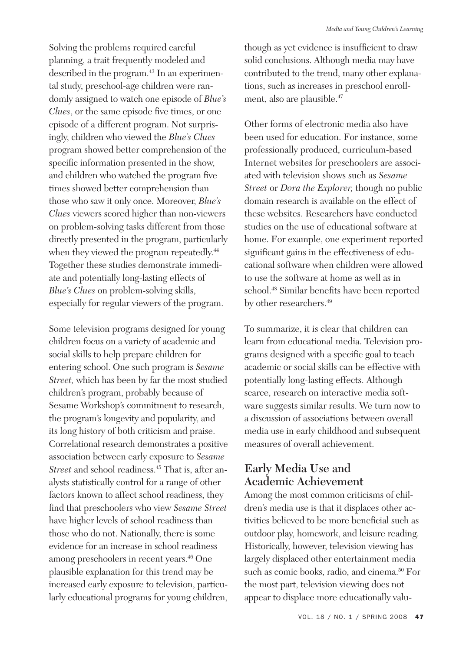Solving the problems required careful planning, a trait frequently modeled and described in the program.<sup>43</sup> In an experimental study, preschool-age children were randomly assigned to watch one episode of *Blue's Clues*, or the same episode five times, or one episode of a different program. Not surprisingly, children who viewed the *Blue's Clues* program showed better comprehension of the specific information presented in the show, and children who watched the program five times showed better comprehension than those who saw it only once. Moreover, *Blue's Clues* viewers scored higher than non-viewers on problem-solving tasks different from those directly presented in the program, particularly when they viewed the program repeatedly.<sup>44</sup> Together these studies demonstrate immediate and potentially long-lasting effects of *Blue's Clues* on problem-solving skills, especially for regular viewers of the program.

Some television programs designed for young children focus on a variety of academic and social skills to help prepare children for entering school. One such program is *Sesame Street,* which has been by far the most studied children's program, probably because of Sesame Workshop's commitment to research, the program's longevity and popularity, and its long history of both criticism and praise. Correlational research demonstrates a positive association between early exposure to *Sesame Street* and school readiness.45 That is, after analysts statistically control for a range of other factors known to affect school readiness, they find that preschoolers who view *Sesame Street*  have higher levels of school readiness than those who do not. Nationally, there is some evidence for an increase in school readiness among preschoolers in recent years.<sup>46</sup> One plausible explanation for this trend may be increased early exposure to television, particularly educational programs for young children,

though as yet evidence is insufficient to draw solid conclusions. Although media may have contributed to the trend, many other explanations, such as increases in preschool enrollment, also are plausible.<sup>47</sup>

Other forms of electronic media also have been used for education. For instance, some professionally produced, curriculum-based Internet websites for preschoolers are associated with television shows such as *Sesame Street* or *Dora the Explorer,* though no public domain research is available on the effect of these websites. Researchers have conducted studies on the use of educational software at home. For example, one experiment reported significant gains in the effectiveness of educational software when children were allowed to use the software at home as well as in school.48 Similar benefits have been reported by other researchers.<sup>49</sup>

To summarize, it is clear that children can learn from educational media. Television programs designed with a specific goal to teach academic or social skills can be effective with potentially long-lasting effects. Although scarce, research on interactive media software suggests similar results. We turn now to a discussion of associations between overall media use in early childhood and subsequent measures of overall achievement.

### **Early Media Use and Academic Achievement**

Among the most common criticisms of children's media use is that it displaces other activities believed to be more beneficial such as outdoor play, homework, and leisure reading. Historically, however, television viewing has largely displaced other entertainment media such as comic books, radio, and cinema.<sup>50</sup> For the most part, television viewing does not appear to displace more educationally valu-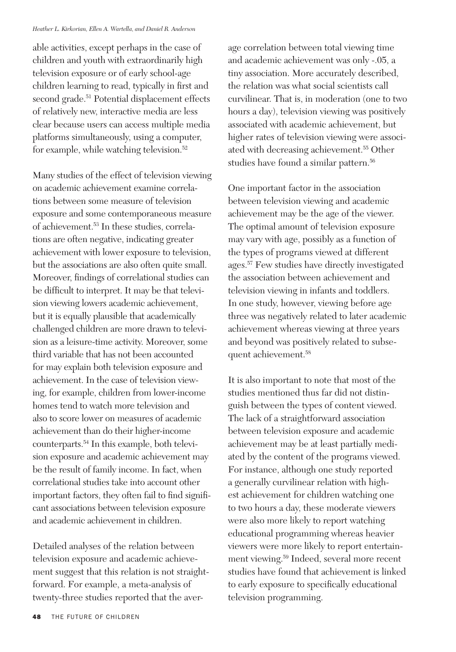#### *Heather L. Kirkorian, Ellen A. Wartella, and Daniel R. Anderson*

able activities, except perhaps in the case of children and youth with extraordinarily high television exposure or of early school-age children learning to read, typically in first and second grade.<sup>51</sup> Potential displacement effects of relatively new, interactive media are less clear because users can access multiple media platforms simultaneously, using a computer, for example, while watching television.<sup>52</sup>

Many studies of the effect of television viewing on academic achievement examine correlations between some measure of television exposure and some contemporaneous measure of achievement.53 In these studies, correlations are often negative, indicating greater achievement with lower exposure to television, but the associations are also often quite small. Moreover, findings of correlational studies can be difficult to interpret. It may be that television viewing lowers academic achievement, but it is equally plausible that academically challenged children are more drawn to television as a leisure-time activity. Moreover, some third variable that has not been accounted for may explain both television exposure and achievement. In the case of television viewing, for example, children from lower-income homes tend to watch more television and also to score lower on measures of academic achievement than do their higher-income counterparts.54 In this example, both television exposure and academic achievement may be the result of family income. In fact, when correlational studies take into account other important factors, they often fail to find significant associations between television exposure and academic achievement in children.

Detailed analyses of the relation between television exposure and academic achievement suggest that this relation is not straightforward. For example, a meta-analysis of twenty-three studies reported that the average correlation between total viewing time and academic achievement was only -.05, a tiny association. More accurately described, the relation was what social scientists call curvilinear. That is, in moderation (one to two hours a day), television viewing was positively associated with academic achievement, but higher rates of television viewing were associated with decreasing achievement.<sup>55</sup> Other studies have found a similar pattern.<sup>56</sup>

One important factor in the association between television viewing and academic achievement may be the age of the viewer. The optimal amount of television exposure may vary with age, possibly as a function of the types of programs viewed at different ages.57 Few studies have directly investigated the association between achievement and television viewing in infants and toddlers. In one study, however, viewing before age three was negatively related to later academic achievement whereas viewing at three years and beyond was positively related to subsequent achievement.58

It is also important to note that most of the studies mentioned thus far did not distinguish between the types of content viewed. The lack of a straightforward association between television exposure and academic achievement may be at least partially mediated by the content of the programs viewed. For instance, although one study reported a generally curvilinear relation with highest achievement for children watching one to two hours a day, these moderate viewers were also more likely to report watching educational programming whereas heavier viewers were more likely to report entertainment viewing.59 Indeed, several more recent studies have found that achievement is linked to early exposure to specifically educational television programming.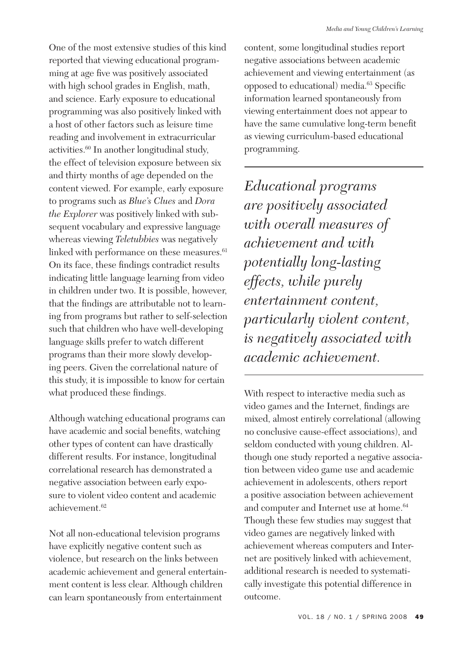One of the most extensive studies of this kind reported that viewing educational programming at age five was positively associated with high school grades in English, math, and science. Early exposure to educational programming was also positively linked with a host of other factors such as leisure time reading and involvement in extracurricular activities.60 In another longitudinal study, the effect of television exposure between six and thirty months of age depended on the content viewed. For example, early exposure to programs such as *Blue's Clues* and *Dora the Explorer* was positively linked with subsequent vocabulary and expressive language whereas viewing *Teletubbies* was negatively linked with performance on these measures.<sup>61</sup> On its face, these findings contradict results indicating little language learning from video in children under two. It is possible, however, that the findings are attributable not to learning from programs but rather to self-selection such that children who have well-developing language skills prefer to watch different programs than their more slowly developing peers. Given the correlational nature of this study, it is impossible to know for certain what produced these findings.

Although watching educational programs can have academic and social benefits, watching other types of content can have drastically different results. For instance, longitudinal correlational research has demonstrated a negative association between early exposure to violent video content and academic achievement.62

Not all non-educational television programs have explicitly negative content such as violence, but research on the links between academic achievement and general entertainment content is less clear. Although children can learn spontaneously from entertainment

content, some longitudinal studies report negative associations between academic achievement and viewing entertainment (as opposed to educational) media.63 Specific information learned spontaneously from viewing entertainment does not appear to have the same cumulative long-term benefit as viewing curriculum-based educational programming.

*Educational programs are positively associated with overall measures of achievement and with potentially long-lasting effects, while purely entertainment content, particularly violent content, is negatively associated with academic achievement.*

With respect to interactive media such as video games and the Internet, findings are mixed, almost entirely correlational (allowing no conclusive cause-effect associations), and seldom conducted with young children. Although one study reported a negative association between video game use and academic achievement in adolescents, others report a positive association between achievement and computer and Internet use at home.<sup>64</sup> Though these few studies may suggest that video games are negatively linked with achievement whereas computers and Internet are positively linked with achievement, additional research is needed to systematically investigate this potential difference in outcome.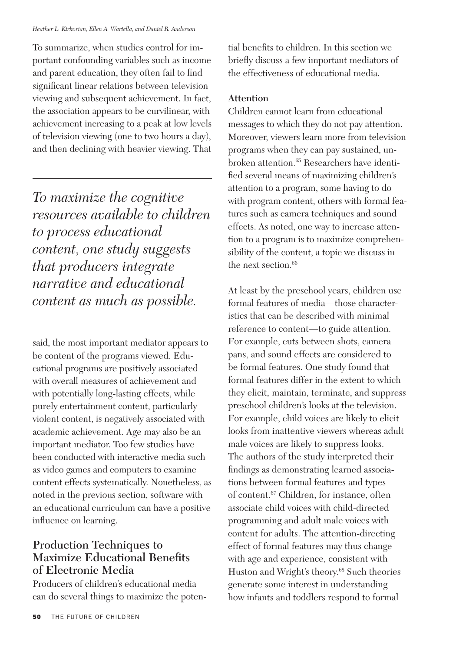To summarize, when studies control for important confounding variables such as income and parent education, they often fail to find significant linear relations between television viewing and subsequent achievement. In fact, the association appears to be curvilinear, with achievement increasing to a peak at low levels of television viewing (one to two hours a day), and then declining with heavier viewing. That

*To maximize the cognitive resources available to children to process educational content, one study suggests that producers integrate narrative and educational content as much as possible.*

said, the most important mediator appears to be content of the programs viewed. Educational programs are positively associated with overall measures of achievement and with potentially long-lasting effects, while purely entertainment content, particularly violent content, is negatively associated with academic achievement. Age may also be an important mediator. Too few studies have been conducted with interactive media such as video games and computers to examine content effects systematically. Nonetheless, as noted in the previous section, software with an educational curriculum can have a positive influence on learning.

### **Production Techniques to Maximize Educational Benefits of Electronic Media**

Producers of children's educational media can do several things to maximize the potential benefits to children. In this section we briefly discuss a few important mediators of the effectiveness of educational media.

### **Attention**

Children cannot learn from educational messages to which they do not pay attention. Moreover, viewers learn more from television programs when they can pay sustained, unbroken attention.<sup>65</sup> Researchers have identified several means of maximizing children's attention to a program, some having to do with program content, others with formal features such as camera techniques and sound effects. As noted, one way to increase attention to a program is to maximize comprehensibility of the content, a topic we discuss in the next section.<sup>66</sup>

At least by the preschool years, children use formal features of media—those characteristics that can be described with minimal reference to content—to guide attention. For example, cuts between shots, camera pans, and sound effects are considered to be formal features. One study found that formal features differ in the extent to which they elicit, maintain, terminate, and suppress preschool children's looks at the television. For example, child voices are likely to elicit looks from inattentive viewers whereas adult male voices are likely to suppress looks. The authors of the study interpreted their findings as demonstrating learned associations between formal features and types of content.67 Children, for instance, often associate child voices with child-directed programming and adult male voices with content for adults. The attention-directing effect of formal features may thus change with age and experience, consistent with Huston and Wright's theory.<sup>68</sup> Such theories generate some interest in understanding how infants and toddlers respond to formal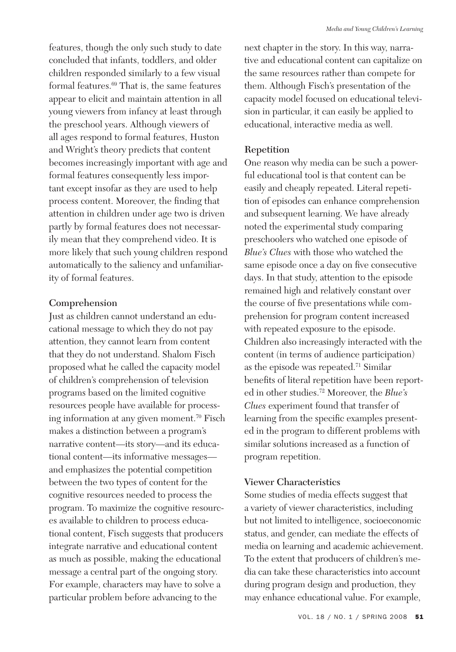features, though the only such study to date concluded that infants, toddlers, and older children responded similarly to a few visual formal features.69 That is, the same features appear to elicit and maintain attention in all young viewers from infancy at least through the preschool years. Although viewers of all ages respond to formal features, Huston and Wright's theory predicts that content becomes increasingly important with age and formal features consequently less important except insofar as they are used to help process content. Moreover, the finding that attention in children under age two is driven partly by formal features does not necessarily mean that they comprehend video. It is more likely that such young children respond automatically to the saliency and unfamiliarity of formal features.

#### **Comprehension**

Just as children cannot understand an educational message to which they do not pay attention, they cannot learn from content that they do not understand. Shalom Fisch proposed what he called the capacity model of children's comprehension of television programs based on the limited cognitive resources people have available for processing information at any given moment.<sup>70</sup> Fisch makes a distinction between a program's narrative content—its story—and its educational content—its informative messages and emphasizes the potential competition between the two types of content for the cognitive resources needed to process the program. To maximize the cognitive resources available to children to process educational content, Fisch suggests that producers integrate narrative and educational content as much as possible, making the educational message a central part of the ongoing story. For example, characters may have to solve a particular problem before advancing to the

next chapter in the story. In this way, narrative and educational content can capitalize on the same resources rather than compete for them. Although Fisch's presentation of the capacity model focused on educational television in particular, it can easily be applied to educational, interactive media as well.

#### **Repetition**

One reason why media can be such a powerful educational tool is that content can be easily and cheaply repeated. Literal repetition of episodes can enhance comprehension and subsequent learning. We have already noted the experimental study comparing preschoolers who watched one episode of *Blue's Clues* with those who watched the same episode once a day on five consecutive days. In that study, attention to the episode remained high and relatively constant over the course of five presentations while comprehension for program content increased with repeated exposure to the episode. Children also increasingly interacted with the content (in terms of audience participation) as the episode was repeated.71 Similar benefits of literal repetition have been reported in other studies.72 Moreover, the *Blue's Clues* experiment found that transfer of learning from the specific examples presented in the program to different problems with similar solutions increased as a function of program repetition.

#### **Viewer Characteristics**

Some studies of media effects suggest that a variety of viewer characteristics, including but not limited to intelligence, socioeconomic status, and gender, can mediate the effects of media on learning and academic achievement. To the extent that producers of children's media can take these characteristics into account during program design and production, they may enhance educational value. For example,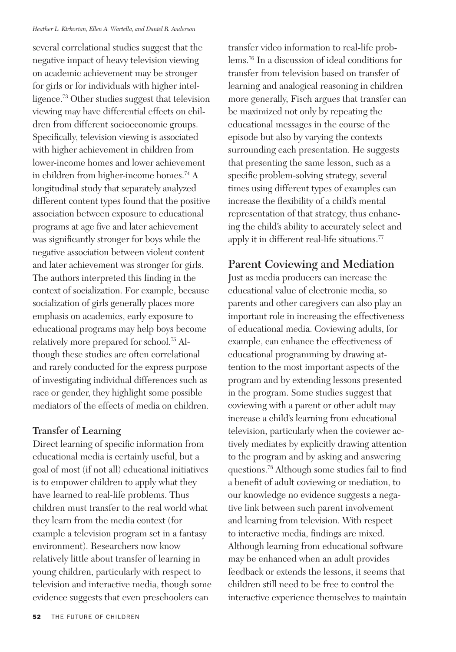several correlational studies suggest that the negative impact of heavy television viewing on academic achievement may be stronger for girls or for individuals with higher intelligence.73 Other studies suggest that television viewing may have differential effects on children from different socioeconomic groups. Specifically, television viewing is associated with higher achievement in children from lower-income homes and lower achievement in children from higher-income homes.74 A longitudinal study that separately analyzed different content types found that the positive association between exposure to educational programs at age five and later achievement was significantly stronger for boys while the negative association between violent content and later achievement was stronger for girls. The authors interpreted this finding in the context of socialization. For example, because socialization of girls generally places more emphasis on academics, early exposure to educational programs may help boys become relatively more prepared for school.75 Although these studies are often correlational and rarely conducted for the express purpose of investigating individual differences such as race or gender, they highlight some possible mediators of the effects of media on children.

### **Transfer of Learning**

Direct learning of specific information from educational media is certainly useful, but a goal of most (if not all) educational initiatives is to empower children to apply what they have learned to real-life problems. Thus children must transfer to the real world what they learn from the media context (for example a television program set in a fantasy environment). Researchers now know relatively little about transfer of learning in young children, particularly with respect to television and interactive media, though some evidence suggests that even preschoolers can

transfer video information to real-life problems.76 In a discussion of ideal conditions for transfer from television based on transfer of learning and analogical reasoning in children more generally, Fisch argues that transfer can be maximized not only by repeating the educational messages in the course of the episode but also by varying the contexts surrounding each presentation. He suggests that presenting the same lesson, such as a specific problem-solving strategy, several times using different types of examples can increase the flexibility of a child's mental representation of that strategy, thus enhancing the child's ability to accurately select and apply it in different real-life situations.<sup>77</sup>

### **Parent Coviewing and Mediation**

Just as media producers can increase the educational value of electronic media, so parents and other caregivers can also play an important role in increasing the effectiveness of educational media. Coviewing adults, for example, can enhance the effectiveness of educational programming by drawing attention to the most important aspects of the program and by extending lessons presented in the program. Some studies suggest that coviewing with a parent or other adult may increase a child's learning from educational television, particularly when the coviewer actively mediates by explicitly drawing attention to the program and by asking and answering questions.78 Although some studies fail to find a benefit of adult coviewing or mediation, to our knowledge no evidence suggests a negative link between such parent involvement and learning from television. With respect to interactive media, findings are mixed. Although learning from educational software may be enhanced when an adult provides feedback or extends the lessons, it seems that children still need to be free to control the interactive experience themselves to maintain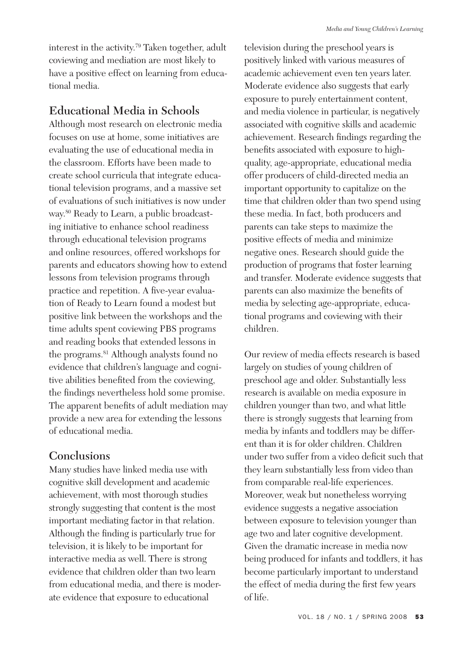interest in the activity.79 Taken together, adult coviewing and mediation are most likely to have a positive effect on learning from educational media.

### **Educational Media in Schools**

Although most research on electronic media focuses on use at home, some initiatives are evaluating the use of educational media in the classroom. Efforts have been made to create school curricula that integrate educational television programs, and a massive set of evaluations of such initiatives is now under way.80 Ready to Learn, a public broadcasting initiative to enhance school readiness through educational television programs and online resources, offered workshops for parents and educators showing how to extend lessons from television programs through practice and repetition. A five-year evaluation of Ready to Learn found a modest but positive link between the workshops and the time adults spent coviewing PBS programs and reading books that extended lessons in the programs.<sup>81</sup> Although analysts found no evidence that children's language and cognitive abilities benefited from the coviewing, the findings nevertheless hold some promise. The apparent benefits of adult mediation may provide a new area for extending the lessons of educational media.

### **Conclusions**

Many studies have linked media use with cognitive skill development and academic achievement, with most thorough studies strongly suggesting that content is the most important mediating factor in that relation. Although the finding is particularly true for television, it is likely to be important for interactive media as well. There is strong evidence that children older than two learn from educational media, and there is moderate evidence that exposure to educational

television during the preschool years is positively linked with various measures of academic achievement even ten years later. Moderate evidence also suggests that early exposure to purely entertainment content, and media violence in particular, is negatively associated with cognitive skills and academic achievement. Research findings regarding the benefits associated with exposure to highquality, age-appropriate, educational media offer producers of child-directed media an important opportunity to capitalize on the time that children older than two spend using these media. In fact, both producers and parents can take steps to maximize the positive effects of media and minimize negative ones. Research should guide the production of programs that foster learning and transfer. Moderate evidence suggests that parents can also maximize the benefits of media by selecting age-appropriate, educational programs and coviewing with their children.

Our review of media effects research is based largely on studies of young children of preschool age and older. Substantially less research is available on media exposure in children younger than two, and what little there is strongly suggests that learning from media by infants and toddlers may be different than it is for older children. Children under two suffer from a video deficit such that they learn substantially less from video than from comparable real-life experiences. Moreover, weak but nonetheless worrying evidence suggests a negative association between exposure to television younger than age two and later cognitive development. Given the dramatic increase in media now being produced for infants and toddlers, it has become particularly important to understand the effect of media during the first few years of life.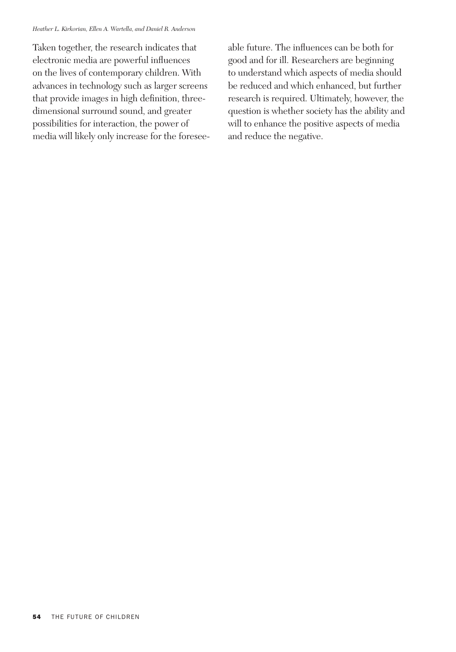#### *Heather L. Kirkorian, Ellen A. Wartella, and Daniel R. Anderson*

Taken together, the research indicates that electronic media are powerful influences on the lives of contemporary children. With advances in technology such as larger screens that provide images in high definition, threedimensional surround sound, and greater possibilities for interaction, the power of media will likely only increase for the foresee-

able future. The influences can be both for good and for ill. Researchers are beginning to understand which aspects of media should be reduced and which enhanced, but further research is required. Ultimately, however, the question is whether society has the ability and will to enhance the positive aspects of media and reduce the negative.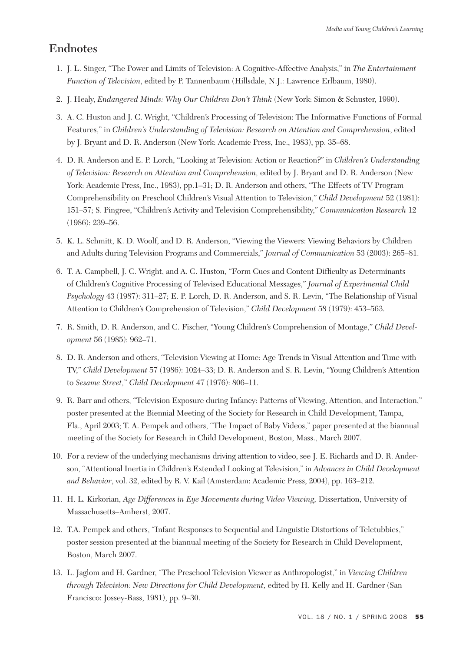### **Endnotes**

- 1. J. L. Singer, "The Power and Limits of Television: A Cognitive-Affective Analysis," in *The Entertainment Function of Television*, edited by P. Tannenbaum (Hillsdale, N.J.: Lawrence Erlbaum, 1980).
- 2. J. Healy, *Endangered Minds: Why Our Children Don't Think* (New York: Simon & Schuster, 1990).
- 3. A. C. Huston and J. C. Wright, "Children's Processing of Television: The Informative Functions of Formal Features," in *Children's Understanding of Television: Research on Attention and Comprehension*, edited by J. Bryant and D. R. Anderson (New York: Academic Press, Inc., 1983), pp. 35–68.
- 4. D. R. Anderson and E. P. Lorch, "Looking at Television: Action or Reaction?" in *Children's Understanding of Television: Research on Attention and Comprehension,* edited by J. Bryant and D. R. Anderson (New York: Academic Press, Inc., 1983), pp.1–31; D. R. Anderson and others, "The Effects of TV Program Comprehensibility on Preschool Children's Visual Attention to Television," *Child Development* 52 (1981): 151–57; S. Pingree, "Children's Activity and Television Comprehensibility," *Communication Research* 12 (1986): 239–56.
- 5. K. L. Schmitt, K. D. Woolf, and D. R. Anderson, "Viewing the Viewers: Viewing Behaviors by Children and Adults during Television Programs and Commercials," *Journal of Communication* 53 (2003): 265–81.
- 6. T. A. Campbell, J. C. Wright, and A. C. Huston, "Form Cues and Content Difficulty as Determinants of Children's Cognitive Processing of Televised Educational Messages," *Journal of Experimental Child Psychology* 43 (1987): 311–27; E. P. Lorch, D. R. Anderson, and S. R. Levin, "The Relationship of Visual Attention to Children's Comprehension of Television," *Child Development* 58 (1979): 453–563.
- 7. R. Smith, D. R. Anderson, and C. Fischer, "Young Children's Comprehension of Montage," *Child Development* 56 (1985): 962–71.
- 8. D. R. Anderson and others, "Television Viewing at Home: Age Trends in Visual Attention and Time with TV," *Child Development* 57 (1986): 1024–33; D. R. Anderson and S. R. Levin, "Young Children's Attention to *Sesame Street,*" *Child Development* 47 (1976): 806–11.
- 9. R. Barr and others, "Television Exposure during Infancy: Patterns of Viewing, Attention, and Interaction," poster presented at the Biennial Meeting of the Society for Research in Child Development, Tampa, Fla., April 2003; T. A. Pempek and others, "The Impact of Baby Videos," paper presented at the biannual meeting of the Society for Research in Child Development, Boston, Mass., March 2007.
- 10. For a review of the underlying mechanisms driving attention to video, see J. E. Richards and D. R. Anderson, "Attentional Inertia in Children's Extended Looking at Television," in *Advances in Child Development and Behavior*, vol. 32, edited by R. V. Kail (Amsterdam: Academic Press, 2004), pp. 163–212.
- 11. H. L. Kirkorian, *Age Differences in Eye Movements during Video Viewing,* Dissertation, University of Massachusetts–Amherst, 2007.
- 12. T.A. Pempek and others, "Infant Responses to Sequential and Linguistic Distortions of Teletubbies," poster session presented at the biannual meeting of the Society for Research in Child Development, Boston, March 2007.
- 13. L. Jaglom and H. Gardner, "The Preschool Television Viewer as Anthropologist," in *Viewing Children through Television: New Directions for Child Development,* edited by H. Kelly and H. Gardner (San Francisco: Jossey-Bass, 1981), pp. 9–30.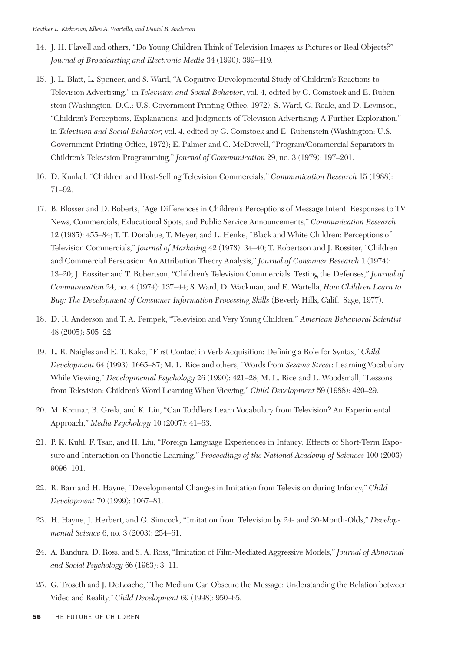- 14. J. H. Flavell and others, "Do Young Children Think of Television Images as Pictures or Real Objects?" *Journal of Broadcasting and Electronic Media* 34 (1990): 399–419.
- 15. J. L. Blatt, L. Spencer, and S. Ward, "A Cognitive Developmental Study of Children's Reactions to Television Advertising," in *Television and Social Behavior*, vol. 4, edited by G. Comstock and E. Rubenstein (Washington, D.C.: U.S. Government Printing Office, 1972); S. Ward, G. Reale, and D. Levinson, "Children's Perceptions, Explanations, and Judgments of Television Advertising: A Further Exploration," in *Television and Social Behavior,* vol. 4, edited by G. Comstock and E. Rubenstein (Washington: U.S. Government Printing Office, 1972); E. Palmer and C. McDowell, "Program/Commercial Separators in Children's Television Programming," *Journal of Communication* 29, no. 3 (1979): 197–201.
- 16. D. Kunkel, "Children and Host-Selling Television Commercials," *Communication Research* 15 (1988): 71–92.
- 17. B. Blosser and D. Roberts, "Age Differences in Children's Perceptions of Message Intent: Responses to TV News, Commercials, Educational Spots, and Public Service Announcements," *Communication Research* 12 (1985): 455–84; T. T. Donahue, T. Meyer, and L. Henke, "Black and White Children: Perceptions of Television Commercials," *Journal of Marketing* 42 (1978): 34–40; T. Robertson and J. Rossiter, "Children and Commercial Persuasion: An Attribution Theory Analysis," *Journal of Consumer Research* 1 (1974): 13–20; J. Rossiter and T. Robertson, "Children's Television Commercials: Testing the Defenses," *Journal of Communication* 24, no. 4 (1974): 137–44; S. Ward, D. Wackman, and E. Wartella, *How Children Learn to Buy: The Development of Consumer Information Processing Skills* (Beverly Hills, *C*alif.: Sage, 1977).
- 18. D. R. Anderson and T. A. Pempek, "Television and Very Young Children," *American Behavioral Scientist* 48 (2005): 505–22.
- 19. L. R. Naigles and E. T. Kako, "First Contact in Verb Acquisition: Defining a Role for Syntax," *Child Development* 64 (1993): 1665–87; M. L. Rice and others, "Words from *Sesame Street*: Learning Vocabulary While Viewing," *Developmental Psychology* 26 (1990): 421–28; M. L. Rice and L. Woodsmall, "Lessons from Television: Children's Word Learning When Viewing," *Child Development* 59 (1988): 420–29.
- 20. M. Krcmar, B. Grela, and K. Lin, "Can Toddlers Learn Vocabulary from Television? An Experimental Approach," *Media Psychology* 10 (2007): 41–63.
- 21. P. K. Kuhl, F. Tsao, and H. Liu, "Foreign Language Experiences in Infancy: Effects of Short-Term Exposure and Interaction on Phonetic Learning," *Proceedings of the National Academy of Sciences* 100 (2003): 9096–101.
- 22. R. Barr and H. Hayne, "Developmental Changes in Imitation from Television during Infancy," *Child Development* 70 (1999): 1067–81.
- 23. H. Hayne, J. Herbert, and G. Simcock, "Imitation from Television by 24- and 30-Month-Olds," *Developmental Science* 6, no. 3 (2003): 254–61.
- 24. A. Bandura, D. Ross, and S. A. Ross, "Imitation of Film-Mediated Aggressive Models," *Journal of Abnormal and Social Psychology* 66 (1963): 3–11.
- 25. G. Troseth and J. DeLoache, "The Medium Can Obscure the Message: Understanding the Relation between Video and Reality," *Child Development* 69 (1998): 950–65.
- **56** THE FUTURE OF CHILDREN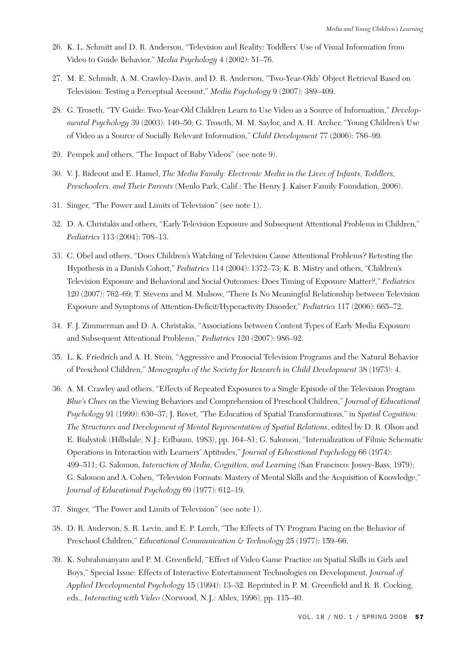- 26. K. L. Schmitt and D. R. Anderson, "Television and Reality: Toddlers' Use of Visual Information from Video to Guide Behavior," *Media Psychology* 4 (2002): 51–76.
- 27. M. E. Schmidt, A. M. Crawley-Davis, and D. R. Anderson, "Two-Year-Olds' Object Retrieval Based on Television: Testing a Perceptual Account," *Media Psychology* 9 (2007): 389–409.
- 28. G. Troseth, "TV Guide: Two-Year-Old Children Learn to Use Video as a Source of Information," *Developmental Psychology* 39 (2003): 140–50; G. Troseth, M. M. Saylor, and A. H. Archer, "Young Children's Use of Video as a Source of Socially Relevant Information," *Child Development* 77 (2006): 786–99.
- 29. Pempek and others, "The Impact of Baby Videos" (see note 9).
- 30. V. J. Rideout and E. Hamel, *The Media Family: Electronic Media in the Lives of Infants, Toddlers, Preschoolers, and Their Parents* (Menlo Park, Calif.: The Henry J. Kaiser Family Foundation, 2006).
- 31. Singer, "The Power and Limits of Television" (see note 1).
- 32. D. A. Christakis and others, "Early Television Exposure and Subsequent Attentional Problems in Children," *Pediatrics* 113 (2004): 708–13.
- 33. C. Obel and others, "Does Children's Watching of Television Cause Attentional Problems? Retesting the Hypothesis in a Danish Cohort," *Pediatrics* 114 (2004): 1372–73; K. B. Mistry and others, "Children's Television Exposure and Behavioral and Social Outcomes: Does Timing of Exposure Matter?," *Pediatrics*  120 (2007): 762–69; T. Stevens and M. Mulsow, "There Is No Meaningful Relationship between Television Exposure and Symptoms of Attention-Deficit/Hyperactivity Disorder," *Pediatrics* 117 (2006): 665–72.
- 34. F. J. Zimmerman and D. A. Christakis, "Associations between Content Types of Early Media Exposure and Subsequent Attentional Problems," *Pediatrics* 120 (2007): 986–92.
- 35. L. K. Friedrich and A. H. Stein, "Aggressive and Prosocial Television Programs and the Natural Behavior of Preschool Children," *Monographs of the Society for Research in Child Development* 38 (1973): 4.
- 36. A. M. Crawley and others, "Effects of Repeated Exposures to a Single Episode of the Television Program *Blue's Clues* on the Viewing Behaviors and Comprehension of Preschool Children," *Journal of Educational Psychology* 91 (1999): 630–37; J. Rovet, "The Education of Spatial Transformations," in *Spatial Cognition: The Structures and Development of Mental Representation of Spatial Relations*, edited by D. R. Olson and E. Bialystok (Hillsdale, N.J.: Erlbaum, 1983), pp. 164–81; G. Salomon, "Internalization of Filmic Schematic Operations in Interaction with Learners' Aptitudes," *Journal of Educational Psychology* 66 (1974): 499–511; G. Salomon, *Interaction of Media, Cognition, and Learning* (San Francisco: Jossey-Bass, 1979); G. Salomon and A. Cohen, "Television Formats: Mastery of Mental Skills and the Acquisition of Knowledge," *Journal of Educational Psychology* 69 (1977): 612–19.
- 37. Singer, "The Power and Limits of Television" (see note 1).
- 38. D. R. Anderson, S. R. Levin, and E. P. Lorch, "The Effects of TV Program Pacing on the Behavior of Preschool Children," *Educational Communication & Technology* 25 (1977): 159–66.
- 39. K. Subrahmanyam and P. M. Greenfield, "Effect of Video Game Practice on Spatial Skills in Girls and Boys," Special Issue: Effects of Interactive Entertainment Technologies on Development, *Journal of Applied Developmental Psychology* 15 (1994): 13–32. Reprinted in P. M. Greenfield and R. R. Cocking, eds., *Interacting with Video* (Norwood, N.J.: Ablex, 1996), pp. 115–40.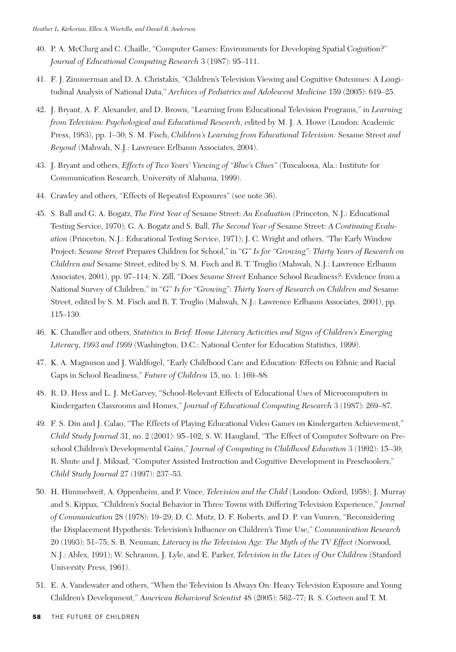- 40. P. A. McClurg and C. Chaille, "Computer Games: Environments for Developing Spatial Cognition?" *Journal of Educational Computing Research* 3 (1987): 95–111.
- 41. F. J. Zimmerman and D. A. Christakis, "Children's Television Viewing and Cognitive Outcomes: A Longitudinal Analysis of National Data," *Archives of Pediatrics and Adolescent Medicine* 159 (2005): 619–25.
- 42. J. Bryant, A. F. Alexander, and D. Brown, "Learning from Educational Television Programs," in *Learning from Television: Psychological and Educational Research*, edited by M. J. A. Howe (London: Academic Press, 1983), pp. 1–30; S. M. Fisch, *Children's Learning from Educational Television:* Sesame Street *and Beyond* (Mahwah, N.J.: Lawrence Erlbaum Associates, 2004).
- 43. J. Bryant and others, *Effects of Two Years' Viewing of "Blue's Clues"* (Tuscaloosa, Ala.: Institute for Communication Research, University of Alabama, 1999).
- 44. Crawley and others, "Effects of Repeated Exposures" (see note 36).
- 45. S. Ball and G. A. Bogatz, *The First Year of* Sesame Street: *An Evaluation* (Princeton, N.J.: Educational Testing Service, 1970); G. A. Bogatz and S. Ball, *The Second Year of* Sesame Street: *A Continuing Evaluation* (Princeton, N.J.: Educational Testing Service, 1971); J. C. Wright and others, "The Early Window Project: *Sesame Street* Prepares Children for School," in "*G" Is for "Growing": Thirty Years of Research on Children and* Sesame Street, edited by S. M. Fisch and R. T. Truglio (Mahwah, N.J.: Lawrence Erlbaum Associates, 2001), pp. 97–114; N. Zill, "Does *Sesame Street* Enhance School Readiness?: Evidence from a National Survey of Children," in "*G" Is for "Growing": Thirty Years of Research on Children and* Sesame Street, edited by S. M. Fisch and R. T. Truglio (Mahwah, N.J.: Lawrence Erlbaum Associates, 2001), pp. 115–130.
- 46. K. Chandler and others, *Statistics in Brief: Home Literacy Activities and Signs of Children's Emerging Literacy, 1993 and 1999* (Washington, D.C.: National Center for Education Statistics, 1999).
- 47. K. A. Magnuson and J. Waldfogel, "Early Childhood Care and Education: Effects on Ethnic and Racial Gaps in School Readiness," *Future of Children* 15, no. 1: 169–88.
- 48. R. D. Hess and L. J. McGarvey, "School-Relevant Effects of Educational Uses of Microcomputers in Kindergarten Classrooms and Homes," *Journal of Educational Computing Research* 3 (1987): 269–87.
- 49. F. S. Din and J. Calao, "The Effects of Playing Educational Video Games on Kindergarten Achievement," *Child Study Journal* 31, no. 2 (2001): 95–102; S. W. Haugland, "The Effect of Computer Software on Preschool Children's Developmental Gains," *Journal of Computing in Childhood Education* 3 (1992): 15–30; R. Shute and J. Miksad, "Computer Assisted Instruction and Cognitive Development in Preschoolers," *Child Study Journal* 27 (1997): 237–53.
- 50. H. Himmelweit, A. Oppenheim, and P. Vince, *Television and the Child (*London: Oxford, 1958); J. Murray and S. Kippax, "Children's Social Behavior in Three Towns with Differing Television Experience," *Journal of Communication* 28 (1978): 19–29; D. C. Mutz, D. F. Roberts, and D. P. van Vuuren, "Reconsidering the Displacement Hypothesis: Television's Influence on Children's Time Use," *Communication Research*  20 (1993): 51–75; S. B. Neuman, *Literacy in the Television Age: The Myth of the TV Effect* (Norwood, N.J.: Ablex, 1991); W. Schramm, J. Lyle, and E. Parker, *Television in the Lives of Our Children* (Stanford University Press, 1961).
- 51. E. A. Vandewater and others, "When the Television Is Always On: Heavy Television Exposure and Young Children's Development," *American Behavioral Scientist* 48 (2005): 562–77; R. S. Corteen and T. M.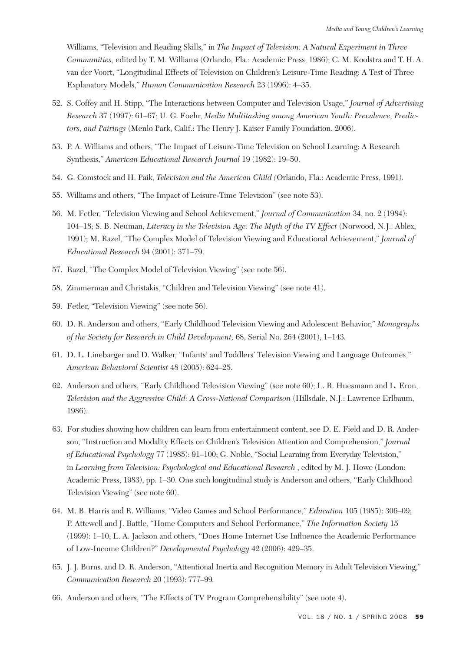Williams, "Television and Reading Skills," in *The Impact of Television: A Natural Experiment in Three Communities*, edited by T. M. Williams (Orlando, Fla.: Academic Press, 1986); C. M. Koolstra and T. H. A. van der Voort, "Longitudinal Effects of Television on Children's Leisure-Time Reading: A Test of Three Explanatory Models," *Human Communication Research* 23 (1996): 4–35.

- 52. S. Coffey and H. Stipp, "The Interactions between Computer and Television Usage," *Journal of Advertising Research* 37 (1997): 61–67; U. G. Foehr, *Media Multitasking among American Youth: Prevalence, Predictors, and Pairings* (Menlo Park, Calif.: The Henry J. Kaiser Family Foundation, 2006).
- 53. P. A. Williams and others, "The Impact of Leisure-Time Television on School Learning: A Research Synthesis," *American Educational Research Journal* 19 (1982): 19–50.
- 54. G. Comstock and H. Paik, *Television and the American Child (*Orlando, Fla.: Academic Press, 1991).
- 55. Williams and others, "The Impact of Leisure-Time Television" (see note 53).
- 56. M. Fetler, "Television Viewing and School Achievement," *Journal of Communication* 34, no. 2 (1984): 104–18; S. B. Neuman, *Literacy in the Television Age: The Myth of the TV Effect* (Norwood, N.J.: Ablex, 1991); M. Razel, "The Complex Model of Television Viewing and Educational Achievement," *Journal of Educational Research* 94 (2001): 371–79.
- 57. Razel, "The Complex Model of Television Viewing" (see note 56).
- 58. Zimmerman and Christakis, "Children and Television Viewing" (see note 41).
- 59. Fetler, "Television Viewing" (see note 56).
- 60. D. R. Anderson and others, "Early Childhood Television Viewing and Adolescent Behavior," *Monographs of the Society for Research in Child Development,* 68, Serial No. 264 (2001), 1–143*.*
- 61. D. L. Linebarger and D. Walker, "Infants' and Toddlers' Television Viewing and Language Outcomes," *American Behavioral Scientist* 48 (2005): 624–25.
- 62. Anderson and others, "Early Childhood Television Viewing" (see note 60); L. R. Huesmann and L. Eron, *Television and the Aggressive Child: A Cross-National Comparison* (Hillsdale, N.J.: Lawrence Erlbaum, 1986).
- 63. For studies showing how children can learn from entertainment content, see D. E. Field and D. R. Anderson, "Instruction and Modality Effects on Children's Television Attention and Comprehension," *Journal of Educational Psychology* 77 (1985): 91–100; G. Noble, "Social Learning from Everyday Television," in *Learning from Television: Psychological and Educational Research* , edited by M. J. Howe (London: Academic Press, 1983), pp. 1–30. One such longitudinal study is Anderson and others, "Early Childhood Television Viewing" (see note 60).
- 64. M. B. Harris and R. Williams, "Video Games and School Performance," *Education* 105 (1985): 306–09; P. Attewell and J. Battle, "Home Computers and School Performance," *The Information Society* 15 (1999): 1–10; L. A. Jackson and others, "Does Home Internet Use Influence the Academic Performance of Low-Income Children?" *Developmental Psychology* 42 (2006): 429–35.
- 65. J. J. Burns. and D. R. Anderson, "Attentional Inertia and Recognition Memory in Adult Television Viewing," *Communication Research* 20 (1993): 777–99*.*
- 66. Anderson and others, "The Effects of TV Program Comprehensibility" (see note 4).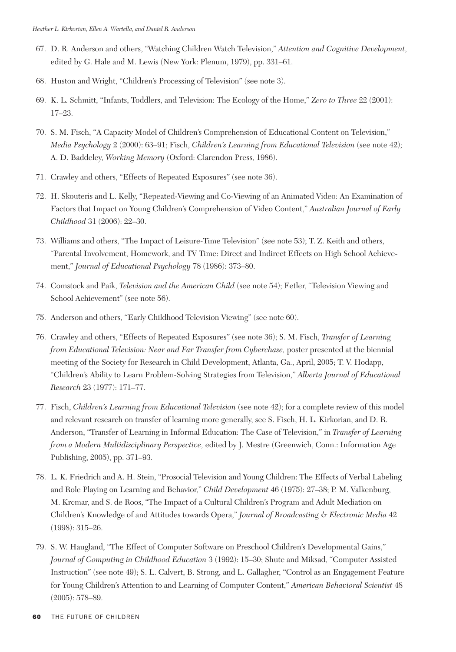- 67. D. R. Anderson and others, "Watching Children Watch Television," *Attention and Cognitive Development,*  edited by G. Hale and M. Lewis (New York: Plenum, 1979), pp. 331–61.
- 68. Huston and Wright, "Children's Processing of Television" (see note 3).
- 69. K. L. Schmitt, "Infants, Toddlers, and Television: The Ecology of the Home," *Zero to Three* 22 (2001): 17–23.
- 70. S. M. Fisch, "A Capacity Model of Children's Comprehension of Educational Content on Television," *Media Psychology* 2 (2000): 63–91; Fisch, *Children's Learning from Educational Television* (see note 42); A. D. Baddeley, *Working Memory* (Oxford: Clarendon Press, 1986).
- 71. Crawley and others, "Effects of Repeated Exposures" (see note 36).
- 72. H. Skouteris and L. Kelly, "Repeated-Viewing and Co-Viewing of an Animated Video: An Examination of Factors that Impact on Young Children's Comprehension of Video Content," *Australian Journal of Early Childhood* 31 (2006): 22–30.
- 73. Williams and others, "The Impact of Leisure-Time Television" (see note 53); T. Z. Keith and others, "Parental Involvement, Homework, and TV Time: Direct and Indirect Effects on High School Achievement," *Journal of Educational Psychology* 78 (1986): 373–80.
- 74. Comstock and Paik, *Television and the American Child* (see note 54); Fetler, "Television Viewing and School Achievement" (see note 56).
- 75. Anderson and others, "Early Childhood Television Viewing" (see note 60).
- 76. Crawley and others, "Effects of Repeated Exposures" (see note 36); S. M. Fisch, *Transfer of Learning from Educational Television: Near and Far Transfer from Cyberchase,* poster presented at the biennial meeting of the Society for Research in Child Development, Atlanta, Ga., April, 2005; T. V. Hodapp, "Children's Ability to Learn Problem-Solving Strategies from Television," *Alberta Journal of Educational Research* 23 (1977): 171–77.
- 77. Fisch, *Children's Learning from Educational Television* (see note 42); for a complete review of this model and relevant research on transfer of learning more generally, see S. Fisch, H. L. Kirkorian, and D. R. Anderson, "Transfer of Learning in Informal Education: The Case of Television," in *Transfer of Learning from a Modern Multidisciplinary Perspective,* edited by J. Mestre (Greenwich, Conn.: Information Age Publishing, 2005), pp. 371–93.
- 78. L. K. Friedrich and A. H. Stein, "Prosocial Television and Young Children: The Effects of Verbal Labeling and Role Playing on Learning and Behavior," *Child Development* 46 (1975): 27–38; P. M. Valkenburg, M. Krcmar, and S. de Roos, "The Impact of a Cultural Children's Program and Adult Mediation on Children's Knowledge of and Attitudes towards Opera," *Journal of Broadcasting & Electronic Media* 42 (1998): 315–26.
- 79. S. W. Haugland, "The Effect of Computer Software on Preschool Children's Developmental Gains," *Journal of Computing in Childhood Education* 3 (1992): 15–30; Shute and Miksad, "Computer Assisted Instruction" (see note 49); S. L. Calvert, B. Strong, and L. Gallagher, "Control as an Engagement Feature for Young Children's Attention to and Learning of Computer Content," *American Behavioral Scientist* 48 (2005): 578–89.